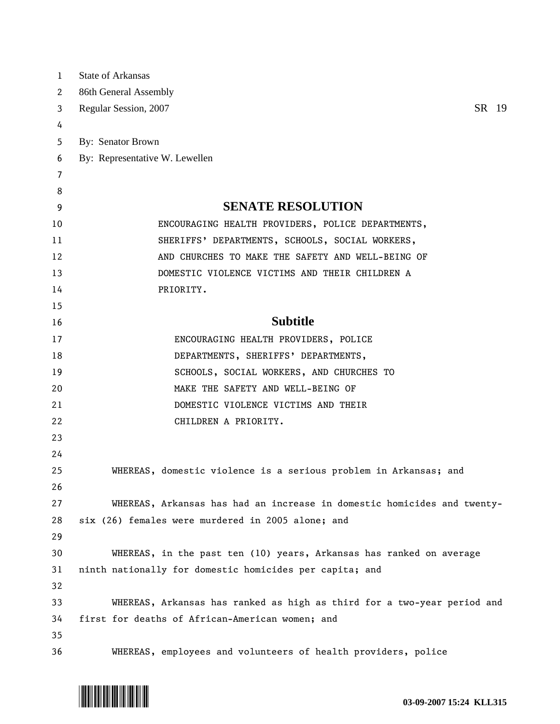| $\mathbf{1}$ | <b>State of Arkansas</b>                                                |
|--------------|-------------------------------------------------------------------------|
| 2            | 86th General Assembly                                                   |
| 3            | SR 19<br>Regular Session, 2007                                          |
| 4            |                                                                         |
| 5            | By: Senator Brown                                                       |
| 6            | By: Representative W. Lewellen                                          |
| 7            |                                                                         |
| 8            |                                                                         |
| 9            | <b>SENATE RESOLUTION</b>                                                |
| 10           | ENCOURAGING HEALTH PROVIDERS, POLICE DEPARTMENTS,                       |
| 11           | SHERIFFS' DEPARTMENTS, SCHOOLS, SOCIAL WORKERS,                         |
| 12           | AND CHURCHES TO MAKE THE SAFETY AND WELL-BEING OF                       |
| 13           | DOMESTIC VIOLENCE VICTIMS AND THEIR CHILDREN A                          |
| 14           | PRIORITY.                                                               |
| 15           |                                                                         |
| 16           | <b>Subtitle</b>                                                         |
| 17           | ENCOURAGING HEALTH PROVIDERS, POLICE                                    |
| 18           | DEPARTMENTS, SHERIFFS' DEPARTMENTS,                                     |
| 19           | SCHOOLS, SOCIAL WORKERS, AND CHURCHES TO                                |
| 20           | MAKE THE SAFETY AND WELL-BEING OF                                       |
| 21           | DOMESTIC VIOLENCE VICTIMS AND THEIR                                     |
| 22           | CHILDREN A PRIORITY.                                                    |
| 23           |                                                                         |
| 24           |                                                                         |
| 25           | WHEREAS, domestic violence is a serious problem in Arkansas; and        |
| 26           |                                                                         |
| 27           | WHEREAS, Arkansas has had an increase in domestic homicides and twenty- |
| 28           | six (26) females were murdered in 2005 alone; and                       |
| 29           |                                                                         |
| 30           | WHEREAS, in the past ten (10) years, Arkansas has ranked on average     |
| 31           | ninth nationally for domestic homicides per capita; and                 |
| 32           |                                                                         |
| 33           | WHEREAS, Arkansas has ranked as high as third for a two-year period and |
| 34           | first for deaths of African-American women; and                         |
| 35           |                                                                         |
| 36           | WHEREAS, employees and volunteers of health providers, police           |